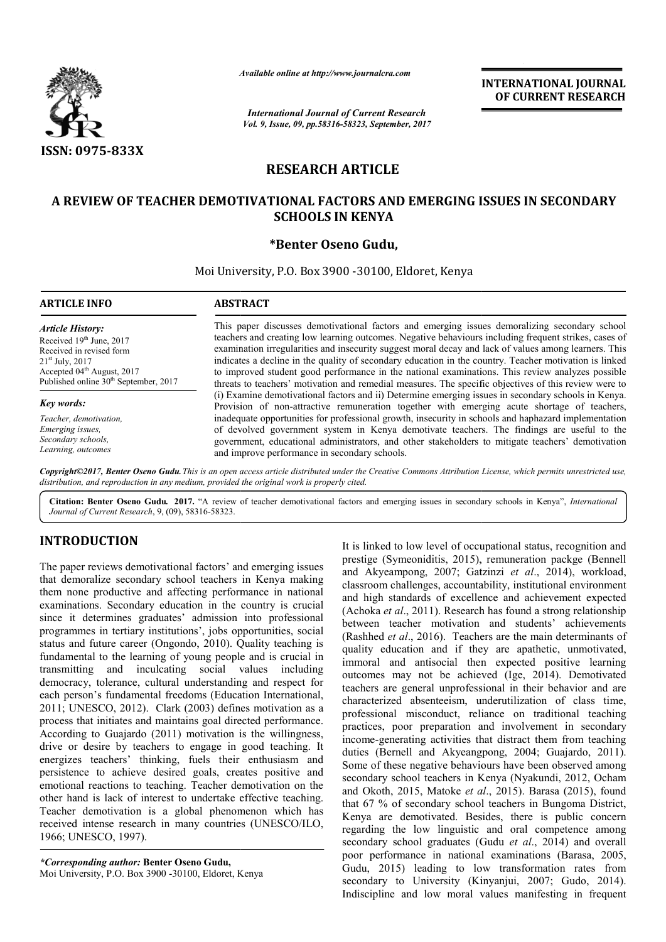

*Available*

*International Journal of Current Research Vol. 9, Issue, 09, pp.58316-58323, September, 2017* **INTERNATIONAL JOURNAL OF CURRENT RESEARCH**

# **RESEARCH ARTICLE**

## **A REVIEW OF TEACHER DEMOTIVATIONAL FACTORS AND EMERGING ISSUES IN SECONDARY TEACHER DEMOTIVATIONAL SECONDARY SCHOOLS IN KENYA**

## **\*Benter Oseno Gudu,**

Moi University, P.O. Box 3900 -30100, Eldoret, Kenya

## **ABSTRACT**

*Article History:* Received 19<sup>th</sup> June, 2017 Received in revised form 21st July, 2017 Accepted 04<sup>th</sup> August, 2017 Published online 30<sup>th</sup> September, 2017

*Key words:*

*Teacher, demotivation, Emerging issues, Secondary schools, Learning, outcomes*

This paper discusses demotivational factors and emerging issues demoralizing secondary school teachers and creating low learning outcomes. Negative behaviours including frequent strikes, cases of examination irregularities and insecurity suggest moral decay and lack of values among learners. This indicates a decline in the quality of secondary education in the country. Teacher motivation is linked to improved student good performance in the national examinations. This review analyzes possible threats to teachers' motivation and remedial measures. The specific objectives of this review were to (i) Examine demotivational factors and ii) Determine emerging issues in secondary schools in Kenya. Provision of non-attractive remuneration together with emerging acut inadequate opportunities for professional growth, insecurity in schools and haphazard implementation of devolved government system in Kenya demotivate teachers. The findings are useful to the government, educational administrators, and other stakeholders to mitigate teachers' demotivation and improve performance in secondary schools. Available online at http://www.journalcra.com<br>
International Journal of Current Resee<br>
Vol. 9, Issue, 09, pp.58316-58323, September,<br> **RESEARCH ARTICLE**<br> **DEMOTIVATIONAL FACTORS AND**<br> **SCHOOLS IN KENYA**<br>
\*Benter Oseno Gudu This paper discusses demotivational factors and emerging issues demoralizing secondary school teachers and creating low learning outcomes. Negative behaviours including frequent strikes, cases of examination irregularities inadequate opportunities for professional growth, insecurity in schools and haphazard implementation<br>of devolved government system in Kenya demotivate teachers. The findings are useful to the<br>government, educational admini

Copyright©2017, Benter Oseno Gudu. This is an open access article distributed under the Creative Commons Attribution License, which permits unrestricted use, *distribution, and reproduction in any medium, provided the original work is properly cited.*

Citation: Benter Oseno Gudu. 2017. "A review of teacher demotivational factors and emerging issues in secondary schools in Kenya", *International Journal of Current Research*, 9, (09), 58316-58323.

# **INTRODUCTION**

The paper reviews demotivational factors' and emerging issues that demoralize secondary school teachers in Kenya making them none productive and affecting performance in national examinations. Secondary education in the country is crucial since it determines graduates' admission into professional programmes in tertiary institutions', jobs opportunities, social status and future career (Ongondo, 2010). Quality teaching is fundamental to the learning of young people and is crucial in transmitting and inculcating social values including democracy, tolerance, cultural understanding and respect for each person's fundamental freedoms (Education International, 2011; UNESCO, 2012). Clark (2003) defines motivation as a process that initiates and maintains goal directed performance. According to Guajardo (2011) motivation is the willingness, drive or desire by teachers to engage in good teaching. It energizes teachers' thinking, fuels their enthusiasm and persistence to achieve desired goals, creates positive and emotional reactions to teaching. Teacher demotivation on the other hand is lack of interest to undertake effective teaching. Teacher demotivation is a global phenomenon which has received intense research in many countries (UNESCO/ILO, 1966; UNESCO, 1997). ntal freedoms (Education International,<br>Clark (2003) defines motivation as a<br>d maintains goal directed performance.<br>(2011) motivation is the willingness,<br>chers to engage in good teaching. It

*\*Corresponding author:* **Benter Oseno Gudu,** Moi University, P.O. Box 3900 -30100, Eldoret, Kenya

incel is linked to low level of occupational status, recognition and<br>thool teachers in Kenya making<br>and Akyeampong, 2007; Gatzinzi et al., 2014), workload,<br>frecting performance in national elastronom challenges, accountab prestige (Symeoniditis, 2015), remuneration packge (Bennell and Akyeampong, 2007; Gatzinzi *et al*., 2014), workload, classroom challenges, accountability, institutional environment classroom challenges, accountability, institutional environment<br>and high standards of excellence and achievement expected (Achoka *et al*., 2011). Research has found a strong relationship between teacher motivation and students' achievements (Rashhed *et al*., 2016). Teachers are the main determinants of quality education and if they are apathetic, unmotivated, immoral and antisocial then expected positive learning outcomes may not be achieved (Ige, 2014). Demotivated teachers are general unprofessional in their behavior and are characterized absenteeism, underutilization of class time, professional misconduct, reliance on traditional teaching practices, poor preparation and involvement in secondary income-generating activities that distract them from teaching duties (Bernell and Akyeangpong, 2004; Guajardo, 2011). outcomes may not be achieved (Ige, 2014). Demotivated teachers are general unprofessional in their behavior and are characterized absenteeism, underutilization of class time, professional misconduct, reliance on traditiona secondary school teachers in Kenya (Nyakundi, 2012, Ocham secondary school teachers in Kenya (Nyakundi, 2012, Ocham and Okoth, 2015, Matoke *et al.*, 2015). Barasa (2015), found that 67 % of secondary school teachers in Bungoma District, Kenya are demotivated. Besides, there is public concern regarding the low linguistic and oral competence among secondary school graduates (Gudu *et al*., 2014) and overall poor performance in national examinations (Barasa, 2005, Gudu, 2015) leading to low transformation rates from secondary to University (Kinyanjui, 2007; Gudo, 2014). Indiscipline and low moral values manifesting in frequent It is linked to low level of occupational status, recognition and search has found a strong relationship<br>vation and students' achievements<br>Feachers are the main determinants of<br>if they are apathetic, unmotivated, t 67 % of secondary school teachers in Bungoma<br>nya are demotivated. Besides, there is public<br>arding the low linguistic and oral competence **INTERNATIONAL JOUENNATION (CONTROVAL STATIFY)**<br> **INTERNATIONAL JOUENNATIONAL CONTROVAL SURFORMERY**<br> **ICLE**<br> **Spiermance, 2017**<br> **ICLE**<br> **SAND EMERGING ISSUES IN SECONDARY**<br> **ICLE**<br> **ICLE**<br> **SAND EMERGING ISSUES IN SECOND**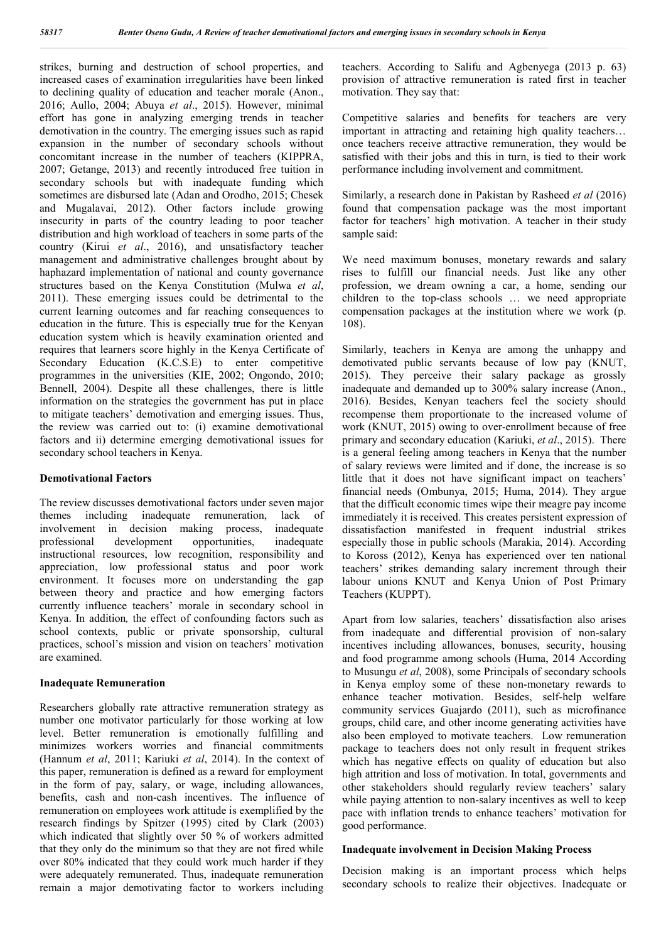strikes, burning and destruction of school properties, and increased cases of examination irregularities have been linked to declining quality of education and teacher morale (Anon., 2016; Aullo, 2004; Abuya *et al*., 2015). However, minimal effort has gone in analyzing emerging trends in teacher demotivation in the country. The emerging issues such as rapid expansion in the number of secondary schools without concomitant increase in the number of teachers (KIPPRA, 2007; Getange, 2013) and recently introduced free tuition in secondary schools but with inadequate funding which sometimes are disbursed late (Adan and Orodho, 2015; Chesek and Mugalavai, 2012). Other factors include growing insecurity in parts of the country leading to poor teacher distribution and high workload of teachers in some parts of the country (Kirui *et al*., 2016), and unsatisfactory teacher management and administrative challenges brought about by haphazard implementation of national and county governance structures based on the Kenya Constitution (Mulwa *et al*, 2011). These emerging issues could be detrimental to the current learning outcomes and far reaching consequences to education in the future. This is especially true for the Kenyan education system which is heavily examination oriented and requires that learners score highly in the Kenya Certificate of Secondary Education (K.C.S.E) to enter competitive programmes in the universities (KIE, 2002; Ongondo, 2010; Bennell, 2004). Despite all these challenges, there is little information on the strategies the government has put in place to mitigate teachers' demotivation and emerging issues. Thus, the review was carried out to: (i) examine demotivational factors and ii) determine emerging demotivational issues for secondary school teachers in Kenya.

## **Demotivational Factors**

The review discusses demotivational factors under seven major themes including inadequate remuneration, lack of involvement in decision making process, inadequate professional development opportunities, inadequate instructional resources, low recognition, responsibility and appreciation, low professional status and poor work environment. It focuses more on understanding the gap between theory and practice and how emerging factors currently influence teachers' morale in secondary school in Kenya. In addition*,* the effect of confounding factors such as school contexts, public or private sponsorship, cultural practices, school's mission and vision on teachers' motivation are examined.

#### **Inadequate Remuneration**

Researchers globally rate attractive remuneration strategy as number one motivator particularly for those working at low level. Better remuneration is emotionally fulfilling and minimizes workers worries and financial commitments (Hannum *et al*, 2011; Kariuki *et al*, 2014). In the context of this paper, remuneration is defined as a reward for employment in the form of pay, salary, or wage, including allowances, benefits, cash and non-cash incentives. The influence of remuneration on employees work attitude is exemplified by the research findings by Spitzer (1995) cited by Clark (2003) which indicated that slightly over 50 % of workers admitted that they only do the minimum so that they are not fired while over 80% indicated that they could work much harder if they were adequately remunerated. Thus, inadequate remuneration remain a major demotivating factor to workers including teachers. According to Salifu and Agbenyega (2013 p. 63) provision of attractive remuneration is rated first in teacher motivation. They say that:

Competitive salaries and benefits for teachers are very important in attracting and retaining high quality teachers… once teachers receive attractive remuneration, they would be satisfied with their jobs and this in turn, is tied to their work performance including involvement and commitment.

Similarly, a research done in Pakistan by Rasheed *et al* (2016) found that compensation package was the most important factor for teachers' high motivation. A teacher in their study sample said:

We need maximum bonuses, monetary rewards and salary rises to fulfill our financial needs. Just like any other profession, we dream owning a car, a home, sending our children to the top-class schools … we need appropriate compensation packages at the institution where we work (p. 108).

Similarly, teachers in Kenya are among the unhappy and demotivated public servants because of low pay (KNUT, 2015). They perceive their salary package as grossly inadequate and demanded up to 300% salary increase (Anon., 2016). Besides, Kenyan teachers feel the society should recompense them proportionate to the increased volume of work (KNUT, 2015) owing to over-enrollment because of free primary and secondary education (Kariuki, *et al*., 2015). There is a general feeling among teachers in Kenya that the number of salary reviews were limited and if done, the increase is so little that it does not have significant impact on teachers' financial needs (Ombunya, 2015; Huma, 2014). They argue that the difficult economic times wipe their meagre pay income immediately it is received. This creates persistent expression of dissatisfaction manifested in frequent industrial strikes especially those in public schools (Marakia, 2014). According to Koross (2012), Kenya has experienced over ten national teachers' strikes demanding salary increment through their labour unions KNUT and Kenya Union of Post Primary Teachers (KUPPT).

Apart from low salaries, teachers' dissatisfaction also arises from inadequate and differential provision of non-salary incentives including allowances, bonuses, security, housing and food programme among schools (Huma, 2014 According to Musungu *et al*, 2008), some Principals of secondary schools in Kenya employ some of these non-monetary rewards to enhance teacher motivation. Besides, self-help welfare community services Guajardo (2011), such as microfinance groups, child care, and other income generating activities have also been employed to motivate teachers. Low remuneration package to teachers does not only result in frequent strikes which has negative effects on quality of education but also high attrition and loss of motivation. In total, governments and other stakeholders should regularly review teachers' salary while paying attention to non-salary incentives as well to keep pace with inflation trends to enhance teachers' motivation for good performance.

## **Inadequate involvement in Decision Making Process**

Decision making is an important process which helps secondary schools to realize their objectives. Inadequate or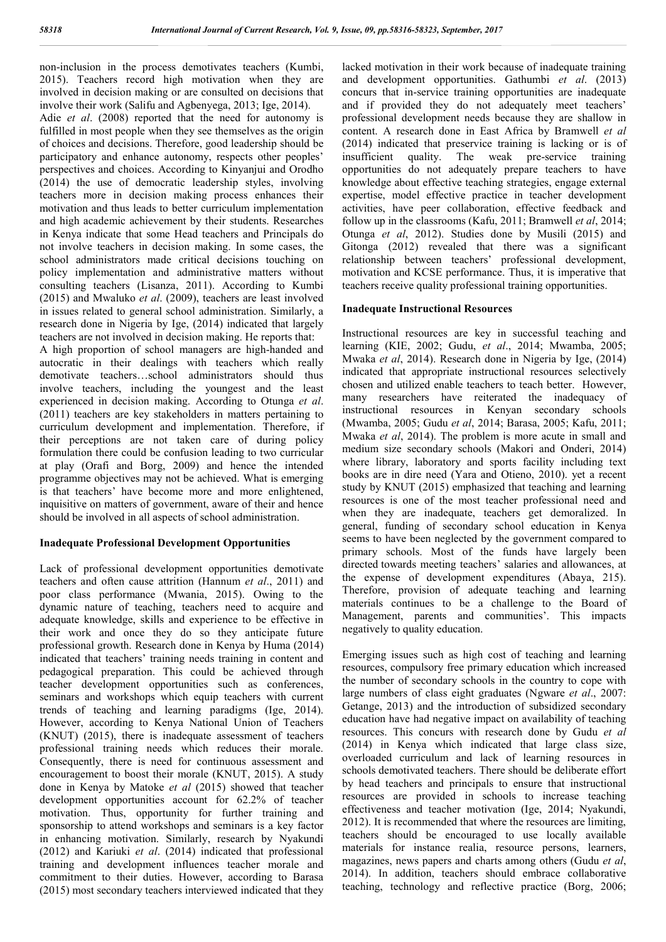non-inclusion in the process demotivates teachers (Kumbi, 2015). Teachers record high motivation when they are involved in decision making or are consulted on decisions that involve their work (Salifu and Agbenyega, 2013; Ige, 2014).

Adie *et al*. (2008) reported that the need for autonomy is fulfilled in most people when they see themselves as the origin of choices and decisions. Therefore, good leadership should be participatory and enhance autonomy, respects other peoples' perspectives and choices. According to Kinyanjui and Orodho (2014) the use of democratic leadership styles, involving teachers more in decision making process enhances their motivation and thus leads to better curriculum implementation and high academic achievement by their students. Researches in Kenya indicate that some Head teachers and Principals do not involve teachers in decision making. In some cases, the school administrators made critical decisions touching on policy implementation and administrative matters without consulting teachers (Lisanza, 2011). According to Kumbi (2015) and Mwaluko *et al*. (2009), teachers are least involved in issues related to general school administration. Similarly, a research done in Nigeria by Ige, (2014) indicated that largely teachers are not involved in decision making. He reports that:

A high proportion of school managers are high-handed and autocratic in their dealings with teachers which really demotivate teachers…school administrators should thus involve teachers, including the youngest and the least experienced in decision making. According to Otunga *et al*. (2011) teachers are key stakeholders in matters pertaining to curriculum development and implementation. Therefore, if their perceptions are not taken care of during policy formulation there could be confusion leading to two curricular at play (Orafi and Borg, 2009) and hence the intended programme objectives may not be achieved. What is emerging is that teachers' have become more and more enlightened, inquisitive on matters of government, aware of their and hence should be involved in all aspects of school administration.

## **Inadequate Professional Development Opportunities**

Lack of professional development opportunities demotivate teachers and often cause attrition (Hannum *et al*., 2011) and poor class performance (Mwania, 2015). Owing to the dynamic nature of teaching, teachers need to acquire and adequate knowledge, skills and experience to be effective in their work and once they do so they anticipate future professional growth. Research done in Kenya by Huma (2014) indicated that teachers' training needs training in content and pedagogical preparation. This could be achieved through teacher development opportunities such as conferences, seminars and workshops which equip teachers with current trends of teaching and learning paradigms (Ige, 2014). However, according to Kenya National Union of Teachers (KNUT) (2015), there is inadequate assessment of teachers professional training needs which reduces their morale. Consequently, there is need for continuous assessment and encouragement to boost their morale (KNUT, 2015). A study done in Kenya by Matoke *et al* (2015) showed that teacher development opportunities account for 62.2% of teacher motivation. Thus, opportunity for further training and sponsorship to attend workshops and seminars is a key factor in enhancing motivation. Similarly, research by Nyakundi (2012) and Kariuki *et al*. (2014) indicated that professional training and development influences teacher morale and commitment to their duties. However, according to Barasa (2015) most secondary teachers interviewed indicated that they lacked motivation in their work because of inadequate training and development opportunities. Gathumbi *et al*. (2013) concurs that in-service training opportunities are inadequate and if provided they do not adequately meet teachers' professional development needs because they are shallow in content. A research done in East Africa by Bramwell *et al* (2014) indicated that preservice training is lacking or is of insufficient quality. The weak pre-service training opportunities do not adequately prepare teachers to have knowledge about effective teaching strategies, engage external expertise, model effective practice in teacher development activities, have peer collaboration, effective feedback and follow up in the classrooms (Kafu, 2011; Bramwell *et al*, 2014; Otunga *et al*, 2012). Studies done by Musili (2015) and Gitonga (2012) revealed that there was a significant relationship between teachers' professional development, motivation and KCSE performance. Thus, it is imperative that teachers receive quality professional training opportunities.

## **Inadequate Instructional Resources**

Instructional resources are key in successful teaching and learning (KIE, 2002; Gudu, *et al*., 2014; Mwamba, 2005; Mwaka *et al*, 2014). Research done in Nigeria by Ige, (2014) indicated that appropriate instructional resources selectively chosen and utilized enable teachers to teach better. However, many researchers have reiterated the inadequacy of instructional resources in Kenyan secondary schools (Mwamba, 2005; Gudu *et al*, 2014; Barasa, 2005; Kafu, 2011; Mwaka *et al*, 2014). The problem is more acute in small and medium size secondary schools (Makori and Onderi, 2014) where library, laboratory and sports facility including text books are in dire need (Yara and Otieno, 2010). yet a recent study by KNUT (2015) emphasized that teaching and learning resources is one of the most teacher professional need and when they are inadequate, teachers get demoralized. In general, funding of secondary school education in Kenya seems to have been neglected by the government compared to primary schools. Most of the funds have largely been directed towards meeting teachers' salaries and allowances, at the expense of development expenditures (Abaya, 215). Therefore, provision of adequate teaching and learning materials continues to be a challenge to the Board of Management, parents and communities'. This impacts negatively to quality education.

Emerging issues such as high cost of teaching and learning resources, compulsory free primary education which increased the number of secondary schools in the country to cope with large numbers of class eight graduates (Ngware *et al*., 2007: Getange, 2013) and the introduction of subsidized secondary education have had negative impact on availability of teaching resources. This concurs with research done by Gudu *et al* (2014) in Kenya which indicated that large class size, overloaded curriculum and lack of learning resources in schools demotivated teachers. There should be deliberate effort by head teachers and principals to ensure that instructional resources are provided in schools to increase teaching effectiveness and teacher motivation (Ige, 2014; Nyakundi, 2012). It is recommended that where the resources are limiting, teachers should be encouraged to use locally available materials for instance realia, resource persons, learners, magazines, news papers and charts among others (Gudu *et al*, 2014). In addition, teachers should embrace collaborative teaching, technology and reflective practice (Borg, 2006;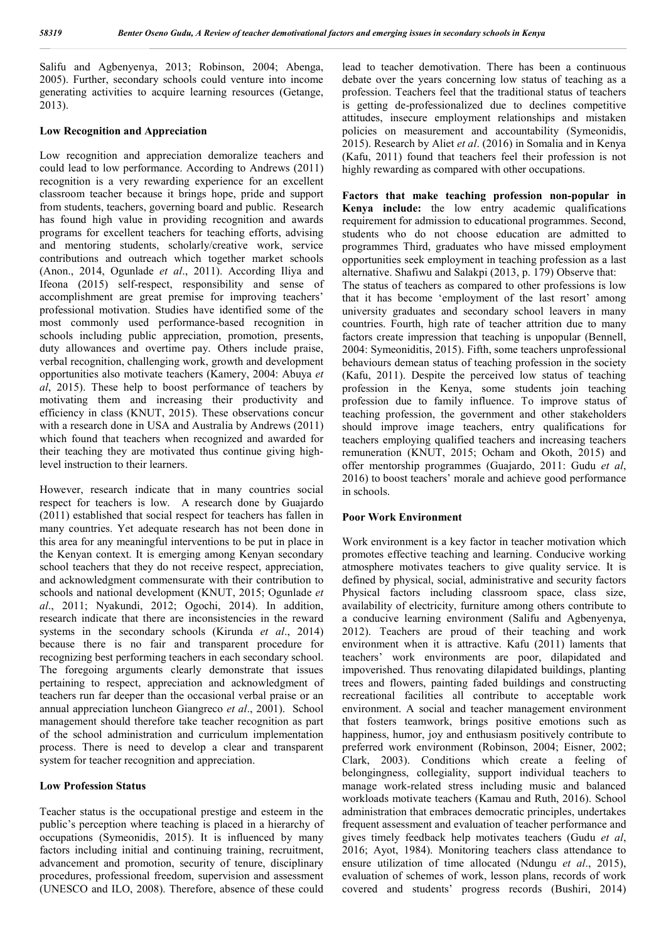Salifu and Agbenyenya, 2013; Robinson, 2004; Abenga, 2005). Further, secondary schools could venture into income generating activities to acquire learning resources (Getange, 2013).

#### **Low Recognition and Appreciation**

Low recognition and appreciation demoralize teachers and could lead to low performance. According to Andrews (2011) recognition is a very rewarding experience for an excellent classroom teacher because it brings hope, pride and support from students, teachers, governing board and public. Research has found high value in providing recognition and awards programs for excellent teachers for teaching efforts, advising and mentoring students, scholarly/creative work, service contributions and outreach which together market schools (Anon., 2014, Ogunlade *et al*., 2011). According Iliya and Ifeona (2015) self-respect, responsibility and sense of accomplishment are great premise for improving teachers' professional motivation. Studies have identified some of the most commonly used performance-based recognition in schools including public appreciation, promotion, presents, duty allowances and overtime pay. Others include praise, verbal recognition, challenging work, growth and development opportunities also motivate teachers (Kamery, 2004: Abuya *et al*, 2015). These help to boost performance of teachers by motivating them and increasing their productivity and efficiency in class (KNUT, 2015). These observations concur with a research done in USA and Australia by Andrews (2011) which found that teachers when recognized and awarded for their teaching they are motivated thus continue giving highlevel instruction to their learners.

However, research indicate that in many countries social respect for teachers is low. A research done by Guajardo (2011) established that social respect for teachers has fallen in many countries. Yet adequate research has not been done in this area for any meaningful interventions to be put in place in the Kenyan context. It is emerging among Kenyan secondary school teachers that they do not receive respect, appreciation, and acknowledgment commensurate with their contribution to schools and national development (KNUT, 2015; Ogunlade *et al*., 2011; Nyakundi, 2012; Ogochi, 2014). In addition, research indicate that there are inconsistencies in the reward systems in the secondary schools (Kirunda *et al*., 2014) because there is no fair and transparent procedure for recognizing best performing teachers in each secondary school. The foregoing arguments clearly demonstrate that issues pertaining to respect, appreciation and acknowledgment of teachers run far deeper than the occasional verbal praise or an annual appreciation luncheon Giangreco *et al*., 2001). School management should therefore take teacher recognition as part of the school administration and curriculum implementation process. There is need to develop a clear and transparent system for teacher recognition and appreciation.

#### **Low Profession Status**

Teacher status is the occupational prestige and esteem in the public's perception where teaching is placed in a hierarchy of occupations (Symeonidis, 2015). It is influenced by many factors including initial and continuing training, recruitment, advancement and promotion, security of tenure, disciplinary procedures, professional freedom, supervision and assessment (UNESCO and ILO, 2008). Therefore, absence of these could

lead to teacher demotivation. There has been a continuous debate over the years concerning low status of teaching as a profession. Teachers feel that the traditional status of teachers is getting de-professionalized due to declines competitive attitudes, insecure employment relationships and mistaken policies on measurement and accountability (Symeonidis, 2015). Research by Aliet *et al*. (2016) in Somalia and in Kenya (Kafu, 2011) found that teachers feel their profession is not highly rewarding as compared with other occupations.

**Factors that make teaching profession non-popular in Kenya include:** the low entry academic qualifications requirement for admission to educational programmes. Second, students who do not choose education are admitted to programmes Third, graduates who have missed employment opportunities seek employment in teaching profession as a last alternative. Shafiwu and Salakpi (2013, p. 179) Observe that: The status of teachers as compared to other professions is low that it has become 'employment of the last resort' among university graduates and secondary school leavers in many countries. Fourth, high rate of teacher attrition due to many factors create impression that teaching is unpopular (Bennell, 2004: Symeoniditis, 2015). Fifth, some teachers unprofessional behaviours demean status of teaching profession in the society (Kafu, 2011). Despite the perceived low status of teaching profession in the Kenya, some students join teaching profession due to family influence. To improve status of teaching profession, the government and other stakeholders should improve image teachers, entry qualifications for teachers employing qualified teachers and increasing teachers remuneration (KNUT, 2015; Ocham and Okoth, 2015) and offer mentorship programmes (Guajardo, 2011: Gudu *et al*, 2016) to boost teachers' morale and achieve good performance in schools.

#### **Poor Work Environment**

Work environment is a key factor in teacher motivation which promotes effective teaching and learning. Conducive working atmosphere motivates teachers to give quality service. It is defined by physical, social, administrative and security factors Physical factors including classroom space, class size, availability of electricity, furniture among others contribute to a conducive learning environment (Salifu and Agbenyenya, 2012). Teachers are proud of their teaching and work environment when it is attractive. Kafu (2011) laments that teachers' work environments are poor, dilapidated and impoverished. Thus renovating dilapidated buildings, planting trees and flowers, painting faded buildings and constructing recreational facilities all contribute to acceptable work environment. A social and teacher management environment that fosters teamwork, brings positive emotions such as happiness, humor, joy and enthusiasm positively contribute to preferred work environment (Robinson, 2004; Eisner, 2002; Clark, 2003). Conditions which create a feeling of belongingness, collegiality, support individual teachers to manage work-related stress including music and balanced workloads motivate teachers (Kamau and Ruth, 2016). School administration that embraces democratic principles, undertakes frequent assessment and evaluation of teacher performance and gives timely feedback help motivates teachers (Gudu *et al*, 2016; Ayot, 1984). Monitoring teachers class attendance to ensure utilization of time allocated (Ndungu *et al*., 2015), evaluation of schemes of work, lesson plans, records of work covered and students' progress records (Bushiri, 2014)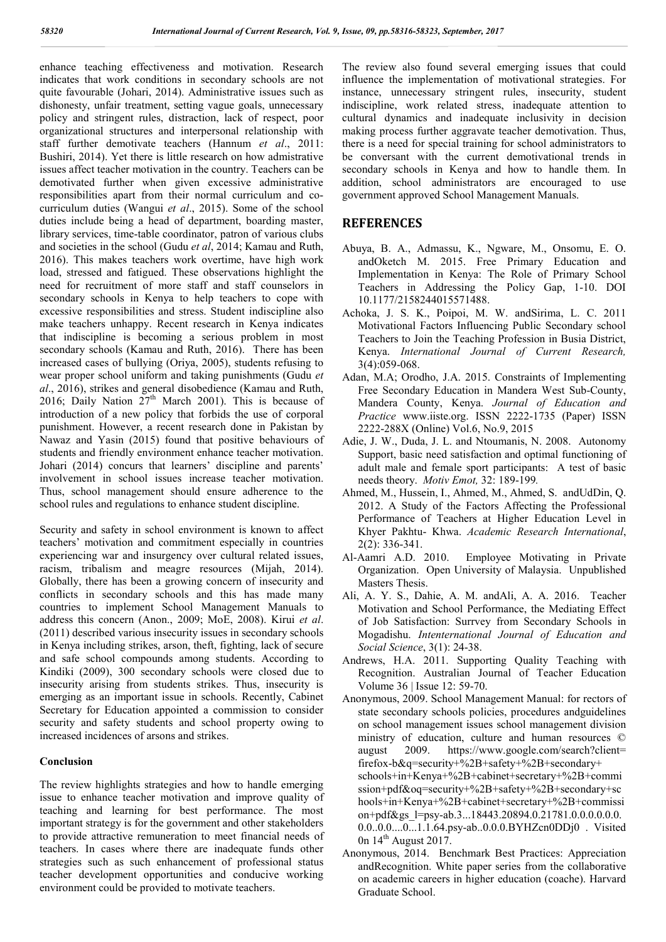enhance teaching effectiveness and motivation. Research indicates that work conditions in secondary schools are not quite favourable (Johari, 2014). Administrative issues such as dishonesty, unfair treatment, setting vague goals, unnecessary policy and stringent rules, distraction, lack of respect, poor organizational structures and interpersonal relationship with staff further demotivate teachers (Hannum *et al*., 2011: Bushiri, 2014). Yet there is little research on how admistrative issues affect teacher motivation in the country. Teachers can be demotivated further when given excessive administrative responsibilities apart from their normal curriculum and cocurriculum duties (Wangui *et al*., 2015). Some of the school duties include being a head of department, boarding master, library services, time-table coordinator, patron of various clubs and societies in the school (Gudu *et al*, 2014; Kamau and Ruth, 2016). This makes teachers work overtime, have high work load, stressed and fatigued. These observations highlight the need for recruitment of more staff and staff counselors in secondary schools in Kenya to help teachers to cope with excessive responsibilities and stress. Student indiscipline also make teachers unhappy. Recent research in Kenya indicates that indiscipline is becoming a serious problem in most secondary schools (Kamau and Ruth, 2016). There has been increased cases of bullying (Oriya, 2005), students refusing to wear proper school uniform and taking punishments (Gudu *et al*., 2016), strikes and general disobedience (Kamau and Ruth, 2016; Daily Nation  $27<sup>th</sup>$  March 2001). This is because of introduction of a new policy that forbids the use of corporal punishment. However, a recent research done in Pakistan by Nawaz and Yasin (2015) found that positive behaviours of students and friendly environment enhance teacher motivation. Johari (2014) concurs that learners' discipline and parents' involvement in school issues increase teacher motivation. Thus, school management should ensure adherence to the school rules and regulations to enhance student discipline.

Security and safety in school environment is known to affect teachers' motivation and commitment especially in countries experiencing war and insurgency over cultural related issues, racism, tribalism and meagre resources (Mijah, 2014). Globally, there has been a growing concern of insecurity and conflicts in secondary schools and this has made many countries to implement School Management Manuals to address this concern (Anon., 2009; MoE, 2008). Kirui *et al*. (2011) described various insecurity issues in secondary schools in Kenya including strikes, arson, theft, fighting, lack of secure and safe school compounds among students. According to Kindiki (2009), 300 secondary schools were closed due to insecurity arising from students strikes. Thus, insecurity is emerging as an important issue in schools. Recently, Cabinet Secretary for Education appointed a commission to consider security and safety students and school property owing to increased incidences of arsons and strikes.

#### **Conclusion**

The review highlights strategies and how to handle emerging issue to enhance teacher motivation and improve quality of teaching and learning for best performance. The most important strategy is for the government and other stakeholders to provide attractive remuneration to meet financial needs of teachers. In cases where there are inadequate funds other strategies such as such enhancement of professional status teacher development opportunities and conducive working environment could be provided to motivate teachers.

The review also found several emerging issues that could influence the implementation of motivational strategies. For instance, unnecessary stringent rules, insecurity, student indiscipline, work related stress, inadequate attention to cultural dynamics and inadequate inclusivity in decision making process further aggravate teacher demotivation. Thus, there is a need for special training for school administrators to be conversant with the current demotivational trends in secondary schools in Kenya and how to handle them. In addition, school administrators are encouraged to use government approved School Management Manuals.

## **REFERENCES**

- Abuya, B. A., Admassu, K., Ngware, M., Onsomu, E. O. andOketch M. 2015. Free Primary Education and Implementation in Kenya: The Role of Primary School Teachers in Addressing the Policy Gap, 1-10. DOI 10.1177/2158244015571488.
- Achoka, J. S. K., Poipoi, M. W. andSirima, L. C. 2011 Motivational Factors Influencing Public Secondary school Teachers to Join the Teaching Profession in Busia District, Kenya. *International Journal of Current Research,*  3(4):059-068.
- Adan, M.A; Orodho, J.A. 2015. Constraints of Implementing Free Secondary Education in Mandera West Sub-County, Mandera County, Kenya. *Journal of Education and Practice* www.iiste.org. ISSN 2222-1735 (Paper) ISSN 2222-288X (Online) Vol.6, No.9, 2015
- Adie, J. W., Duda, J. L. and Ntoumanis, N. 2008. Autonomy Support, basic need satisfaction and optimal functioning of adult male and female sport participants: A test of basic needs theory. *Motiv Emot,* 32: 189-199*.*
- Ahmed, M., Hussein, I., Ahmed, M., Ahmed, S. andUdDin, Q. 2012. A Study of the Factors Affecting the Professional Performance of Teachers at Higher Education Level in Khyer Pakhtu- Khwa. *Academic Research International*, 2(2): 336-341.
- Al-Aamri A.D. 2010. Employee Motivating in Private Organization. Open University of Malaysia. Unpublished Masters Thesis.
- Ali, A. Y. S., Dahie, A. M. andAli, A. A. 2016. Teacher Motivation and School Performance, the Mediating Effect of Job Satisfaction: Surrvey from Secondary Schools in Mogadishu. *Intenternational Journal of Education and Social Science*, 3(1): 24-38.
- Andrews, H.A. 2011. Supporting Quality Teaching with Recognition. Australian Journal of Teacher Education Volume 36 | Issue 12: 59-70.
- Anonymous, 2009. School Management Manual: for rectors of state secondary schools policies, procedures andguidelines on school management issues school management division ministry of education, culture and human resources © august 2009. https://www.google.com/search?client= firefox-b&q=security+%2B+safety+%2B+secondary+ schools+in+Kenya+%2B+cabinet+secretary+%2B+commi ssion+pdf&oq=security+%2B+safety+%2B+secondary+sc hools+in+Kenya+%2B+cabinet+secretary+%2B+commissi on+pdf&gs\_l=psy-ab.3...18443.20894.0.21781.0.0.0.0.0.0. 0.0..0.0....0...1.1.64.psy-ab..0.0.0.BYHZcn0DDj0 . Visited 0n  $14<sup>th</sup>$  August 2017.
- Anonymous, 2014. Benchmark Best Practices: Appreciation andRecognition. White paper series from the collaborative on academic careers in higher education (coache). Harvard Graduate School.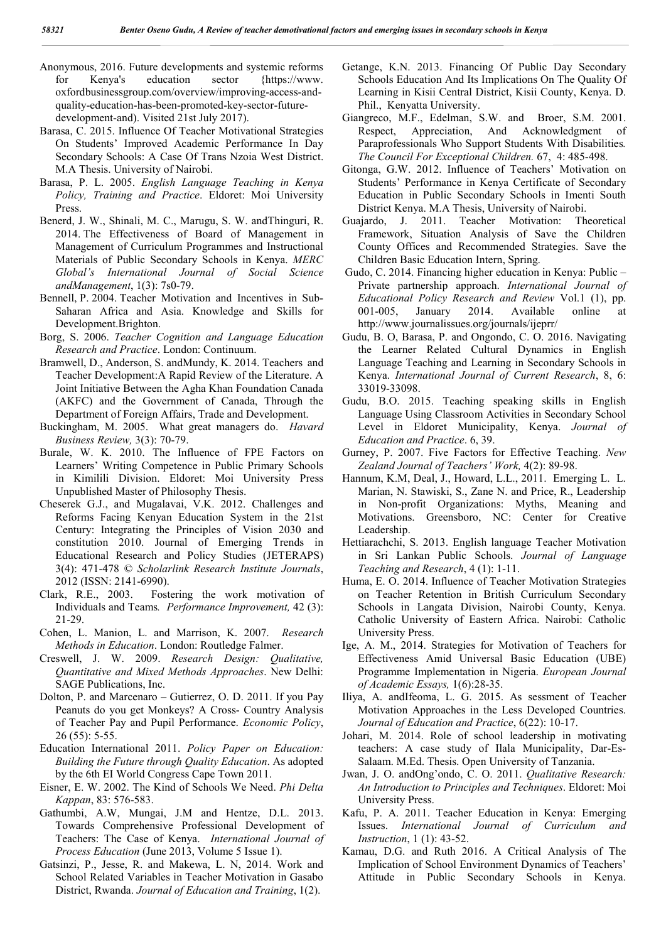- Anonymous, 2016. Future developments and systemic reforms for Kenya's education sector {https://www. oxfordbusinessgroup.com/overview/improving-access-andquality-education-has-been-promoted-key-sector-futuredevelopment-and). Visited 21st July 2017).
- Barasa, C. 2015. Influence Of Teacher Motivational Strategies On Students' Improved Academic Performance In Day Secondary Schools: A Case Of Trans Nzoia West District. M.A Thesis. University of Nairobi.
- Barasa, P. L. 2005. *English Language Teaching in Kenya Policy, Training and Practice*. Eldoret: Moi University Press.
- Benerd, J. W., Shinali, M. C., Marugu, S. W. andThinguri, R. 2014. The Effectiveness of Board of Management in Management of Curriculum Programmes and Instructional Materials of Public Secondary Schools in Kenya. *MERC Global's International Journal of Social Science andManagement*, 1(3): 7s0-79.
- Bennell, P. 2004. Teacher Motivation and Incentives in Sub-Saharan Africa and Asia. Knowledge and Skills for Development.Brighton.
- Borg, S. 2006. *Teacher Cognition and Language Education Research and Practice*. London: Continuum.
- Bramwell, D., Anderson, S. andMundy, K. 2014. Teachers and Teacher Development:A Rapid Review of the Literature. A Joint Initiative Between the Agha Khan Foundation Canada (AKFC) and the Government of Canada, Through the Department of Foreign Affairs, Trade and Development.
- Buckingham, M. 2005. What great managers do. *Havard Business Review,* 3(3): 70-79.
- Burale, W. K. 2010. The Influence of FPE Factors on Learners' Writing Competence in Public Primary Schools in Kimilili Division. Eldoret: Moi University Press Unpublished Master of Philosophy Thesis.
- Cheserek G.J., and Mugalavai, V.K. 2012. Challenges and Reforms Facing Kenyan Education System in the 21st Century: Integrating the Principles of Vision 2030 and constitution 2010. Journal of Emerging Trends in Educational Research and Policy Studies (JETERAPS) 3(4): 471-478 © *Scholarlink Research Institute Journals*, 2012 (ISSN: 2141-6990).
- Clark, R.E., 2003. Fostering the work motivation of Individuals and Teams*. Performance Improvement,* 42 (3): 21-29.
- Cohen, L. Manion, L. and Marrison, K. 2007. *Research Methods in Education*. London: Routledge Falmer.
- Creswell, J. W. 2009. *Research Design: Qualitative, Quantitative and Mixed Methods Approaches*. New Delhi: SAGE Publications, Inc.
- Dolton, P. and Marcenaro Gutierrez, O. D. 2011. If you Pay Peanuts do you get Monkeys? A Cross- Country Analysis of Teacher Pay and Pupil Performance. *Economic Policy*, 26 (55): 5-55.
- Education International 2011. *Policy Paper on Education: Building the Future through Quality Education*. As adopted by the 6th EI World Congress Cape Town 2011.
- Eisner, E. W. 2002. The Kind of Schools We Need. *Phi Delta Kappan*, 83: 576-583.
- Gathumbi, A.W, Mungai, J.M and Hentze, D.L. 2013. Towards Comprehensive Professional Development of Teachers: The Case of Kenya. *International Journal of Process Education* (June 2013, Volume 5 Issue 1).
- Gatsinzi, P., Jesse, R. and Makewa, L. N, 2014. Work and School Related Variables in Teacher Motivation in Gasabo District, Rwanda. *Journal of Education and Training*, 1(2).
- Getange, K.N. 2013. Financing Of Public Day Secondary Schools Education And Its Implications On The Quality Of Learning in Kisii Central District, Kisii County, Kenya. D. Phil., Kenyatta University.
- Giangreco, M.F., Edelman, S.W. and Broer, S.M. 2001. Respect, Appreciation, And Acknowledgment of Paraprofessionals Who Support Students With Disabilities*. The Council For Exceptional Children.* 67, 4: 485-498.
- Gitonga, G.W. 2012. Influence of Teachers' Motivation on Students' Performance in Kenya Certificate of Secondary Education in Public Secondary Schools in Imenti South District Kenya. M.A Thesis, University of Nairobi.
- Guajardo, J. 2011. Teacher Motivation: Theoretical Framework, Situation Analysis of Save the Children County Offices and Recommended Strategies. Save the Children Basic Education Intern, Spring.
- Gudo, C. 2014. Financing higher education in Kenya: Public Private partnership approach. *International Journal of Educational Policy Research and Review* Vol.1 (1), pp. 001-005, January 2014. Available online at http://www.journalissues.org/journals/ijeprr/
- Gudu, B. O, Barasa, P. and Ongondo, C. O. 2016. Navigating the Learner Related Cultural Dynamics in English Language Teaching and Learning in Secondary Schools in Kenya. *International Journal of Current Research*, 8, 6: 33019-33098.
- Gudu, B.O. 2015. Teaching speaking skills in English Language Using Classroom Activities in Secondary School Level in Eldoret Municipality, Kenya. *Journal of Education and Practice*. 6, 39.
- Gurney, P. 2007. Five Factors for Effective Teaching. *New Zealand Journal of Teachers' Work,* 4(2): 89-98.
- Hannum, K.M, Deal, J., Howard, L.L., 2011. Emerging L. L. Marian, N. Stawiski, S., Zane N. and Price, R., Leadership in Non-profit Organizations: Myths, Meaning and Motivations. Greensboro, NC: Center for Creative Leadership.
- Hettiarachchi, S. 2013. English language Teacher Motivation in Sri Lankan Public Schools. *Journal of Language Teaching and Research*, 4 (1): 1-11.
- Huma, E. O. 2014. Influence of Teacher Motivation Strategies on Teacher Retention in British Curriculum Secondary Schools in Langata Division, Nairobi County, Kenya. Catholic University of Eastern Africa. Nairobi: Catholic University Press.
- Ige, A. M., 2014. Strategies for Motivation of Teachers for Effectiveness Amid Universal Basic Education (UBE) Programme Implementation in Nigeria. *European Journal of Academic Essays,* 1(6):28-35.
- Iliya, A. andIfeoma, L. G. 2015. As sessment of Teacher Motivation Approaches in the Less Developed Countries. *Journal of Education and Practice*, 6(22): 10-17.
- Johari, M. 2014. Role of school leadership in motivating teachers: A case study of Ilala Municipality, Dar-Es-Salaam. M.Ed. Thesis. Open University of Tanzania.
- Jwan, J. O. andOng'ondo, C. O. 2011. *Qualitative Research: An Introduction to Principles and Techniques*. Eldoret: Moi University Press.
- Kafu, P. A. 2011. Teacher Education in Kenya: Emerging Issues. *International Journal of Curriculum and Instruction*, 1 (1): 43-52.
- Kamau, D.G. and Ruth 2016. A Critical Analysis of The Implication of School Environment Dynamics of Teachers' Attitude in Public Secondary Schools in Kenya.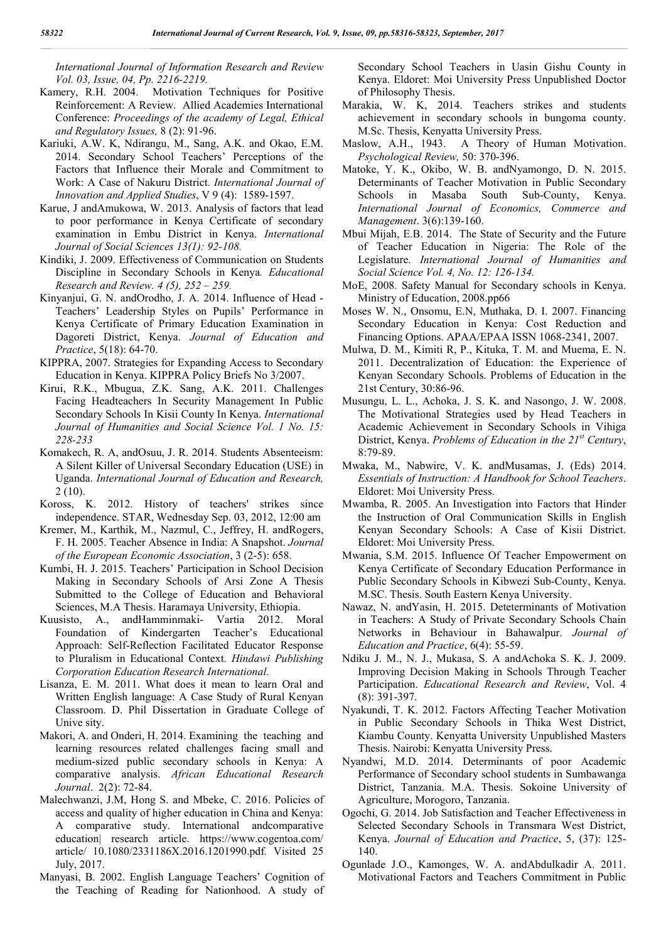*International Journal of Information Research and Review Vol. 03, Issue, 04, Pp. 2216-2219.*

- Kamery, R.H. 2004. Motivation Techniques for Positive Reinforcement: A Review. Allied Academies International Conference: *Proceedings of the academy of Legal, Ethical and Regulatory Issues,* 8 (2): 91-96.
- Kariuki, A.W. K, Ndirangu, M., Sang, A.K. and Okao, E.M. 2014. Secondary School Teachers' Perceptions of the Factors that Influence their Morale and Commitment to Work: A Case of Nakuru District. *International Journal of Innovation and Applied Studies*, V 9 (4): 1589-1597.
- Karue, J andAmukowa, W. 2013. Analysis of factors that lead to poor performance in Kenya Certificate of secondary examination in Embu District in Kenya. *International Journal of Social Sciences 13(1): 92-108.*
- Kindiki, J. 2009. Effectiveness of Communication on Students Discipline in Secondary Schools in Kenya*. Educational Research and Review. 4 (5), 252 – 259.*
- Kinyanjui, G. N. andOrodho, J. A. 2014. Influence of Head Teachers' Leadership Styles on Pupils' Performance in Kenya Certificate of Primary Education Examination in Dagoreti District, Kenya. *Journal of Education and Practice*, 5(18): 64-70.
- KIPPRA, 2007. Strategies for Expanding Access to Secondary Education in Kenya. KIPPRA Policy Briefs No 3/2007.
- Kirui, R.K., Mbugua, Z.K. Sang, A.K. 2011. Challenges Facing Headteachers In Security Management In Public Secondary Schools In Kisii County In Kenya. *International Journal of Humanities and Social Science Vol. 1 No. 15: 228-233*
- Komakech, R. A, andOsuu, J. R. 2014. Students Absenteeism: A Silent Killer of Universal Secondary Education (USE) in Uganda. *International Journal of Education and Research,* 2 (10).
- Koross, K. 2012. History of teachers' strikes since independence. STAR, Wednesday Sep. 03, 2012, 12:00 am
- Kremer, M., Karthik, M., Nazmul, C., Jeffrey, H. andRogers, F. H. 2005. Teacher Absence in India: A Snapshot. *Journal of the European Economic Association*, 3 (2-5): 658.
- Kumbi, H. J. 2015. Teachers' Participation in School Decision Making in Secondary Schools of Arsi Zone A Thesis Submitted to the College of Education and Behavioral Sciences, M.A Thesis. Haramaya University, Ethiopia.
- Kuusisto, A., andHamminmaki- Vartia 2012. Moral Foundation of Kindergarten Teacher's Educational Approach: Self-Reflection Facilitated Educator Response to Pluralism in Educational Context. *Hindawi Publishing Corporation Education Research International.*
- Lisanza, E. M. 2011. What does it mean to learn Oral and Written English language: A Case Study of Rural Kenyan Classroom. D. Phil Dissertation in Graduate College of Unive sity.
- Makori, A. and Onderi, H. 2014. Examining the teaching and learning resources related challenges facing small and medium-sized public secondary schools in Kenya: A comparative analysis. *African Educational Research Journal*. 2(2): 72-84.
- Malechwanzi, J.M, Hong S. and Mbeke, C. 2016. Policies of access and quality of higher education in China and Kenya: A comparative study. International andcomparative education| research article. https://www.cogentoa.com/ article/ 10.1080/2331186X.2016.1201990.pdf*.* Visited 25 July, 2017.
- Manyasi, B. 2002. English Language Teachers' Cognition of the Teaching of Reading for Nationhood. A study of

Secondary School Teachers in Uasin Gishu County in Kenya. Eldoret: Moi University Press Unpublished Doctor of Philosophy Thesis.

- Marakia, W. K, 2014. Teachers strikes and students achievement in secondary schools in bungoma county. M.Sc. Thesis, Kenyatta University Press.
- Maslow, A.H., 1943. A Theory of Human Motivation. *Psychological Review,* 50: 370-396.
- Matoke, Y. K., Okibo, W. B. andNyamongo, D. N. 2015. Determinants of Teacher Motivation in Public Secondary Schools in Masaba South Sub-County, Kenya. *International Journal of Economics, Commerce and Management*. 3(6):139-160.
- Mbui Mijah, E.B. 2014. The State of Security and the Future of Teacher Education in Nigeria: The Role of the Legislature. *International Journal of Humanities and Social Science Vol. 4, No. 12: 126-134.*
- MoE, 2008. Safety Manual for Secondary schools in Kenya. Ministry of Education, 2008.pp66
- Moses W. N., Onsomu, E.N, Muthaka, D. I. 2007. Financing Secondary Education in Kenya: Cost Reduction and Financing Options. APAA/EPAA ISSN 1068-2341, 2007.
- Mulwa, D. M., Kimiti R, P., Kituka, T. M. and Muema, E. N. 2011. Decentralization of Education: the Experience of Kenyan Secondary Schools. Problems of Education in the 21st Century, 30:86-96.
- Musungu, L. L., Achoka, J. S. K. and Nasongo, J. W. 2008. The Motivational Strategies used by Head Teachers in Academic Achievement in Secondary Schools in Vihiga District, Kenya. *Problems of Education in the 21st Century*, 8:79-89.
- Mwaka, M., Nabwire, V. K. andMusamas, J. (Eds) 2014. *Essentials of Instruction: A Handbook for School Teachers*. Eldoret: Moi University Press.
- Mwamba, R. 2005. An Investigation into Factors that Hinder the Instruction of Oral Communication Skills in English Kenyan Secondary Schools: A Case of Kisii District. Eldoret: Moi University Press.
- Mwania, S.M. 2015. Influence Of Teacher Empowerment on Kenya Certificate of Secondary Education Performance in Public Secondary Schools in Kibwezi Sub-County, Kenya. M.SC. Thesis. South Eastern Kenya University.
- Nawaz, N. andYasin, H. 2015. Deteterminants of Motivation in Teachers: A Study of Private Secondary Schools Chain Networks in Behaviour in Bahawalpur. *Journal of Education and Practice*, 6(4): 55-59.
- Ndiku J. M., N. J., Mukasa, S. A andAchoka S. K. J. 2009. Improving Decision Making in Schools Through Teacher Participation. *Educational Research and Review*, Vol. 4 (8): 391-397.
- Nyakundi, T. K. 2012. Factors Affecting Teacher Motivation in Public Secondary Schools in Thika West District, Kiambu County. Kenyatta University Unpublished Masters Thesis. Nairobi: Kenyatta University Press.
- Nyandwi, M.D. 2014. Determinants of poor Academic Performance of Secondary school students in Sumbawanga District, Tanzania. M.A. Thesis. Sokoine University of Agriculture, Morogoro, Tanzania.
- Ogochi, G. 2014. Job Satisfaction and Teacher Effectiveness in Selected Secondary Schools in Transmara West District, Kenya. *Journal of Education and Practice*, 5, (37): 125- 140.
- Ogunlade J.O., Kamonges, W. A. andAbdulkadir A. 2011. Motivational Factors and Teachers Commitment in Public